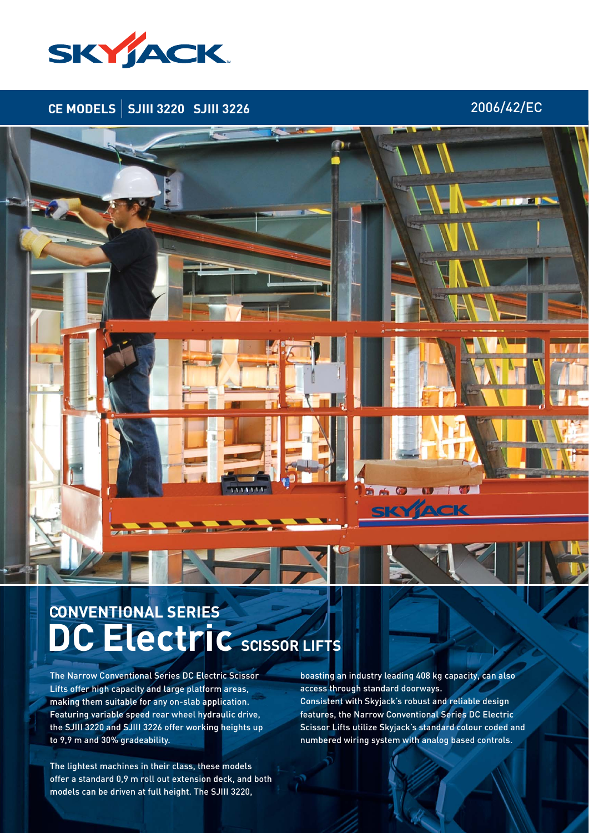

## **CE MODELS SJIII 3220 SJIII 3226** 2006/42/EC

# **SACT**

# **DC Electric SCISSOR LIFTS CONVENTIONAL SERIES**

The Narrow Conventional Series DC Electric Scissor Lifts offer high capacity and large platform areas, making them suitable for any on-slab application. Featuring variable speed rear wheel hydraulic drive, the SJIII 3220 and SJIII 3226 offer working heights up to 9,9 m and 30% gradeability.

The lightest machines in their class, these models offer a standard 0,9 m roll out extension deck, and both models can be driven at full height. The SJIII 3220,

boasting an industry leading 408 kg capacity, can also access through standard doorways. Consistent with Skyjack's robust and reliable design features, the Narrow Conventional Series DC Electric Scissor Lifts utilize Skyjack's standard colour coded and numbered wiring system with analog based controls.